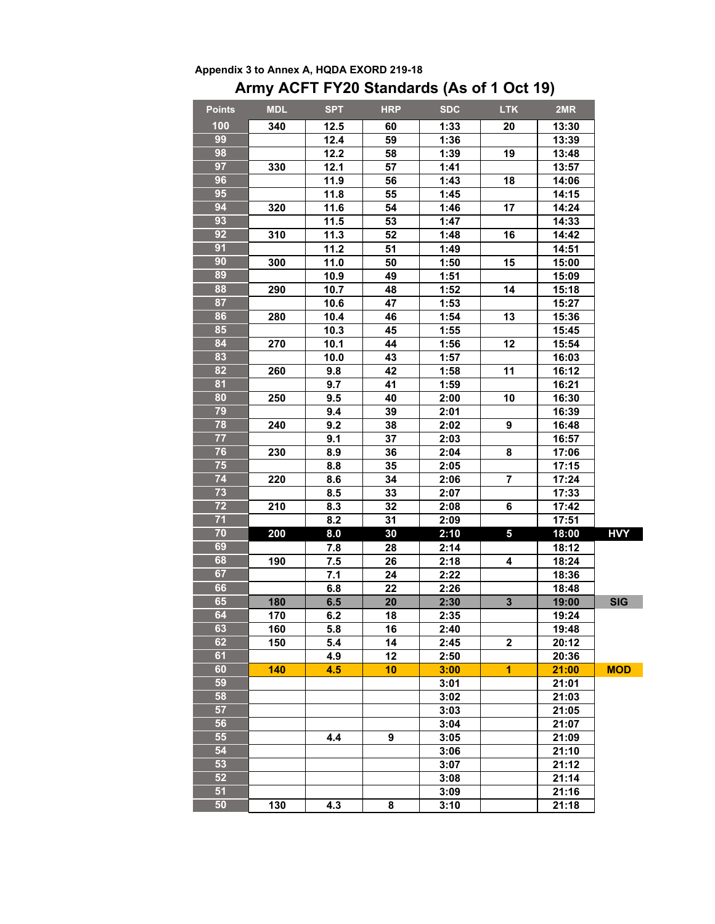|               |            |                   |            | ATTITY AVE THE LZU Statiuarus (AS OF FOCE 19) |                         |       |            |
|---------------|------------|-------------------|------------|-----------------------------------------------|-------------------------|-------|------------|
| <b>Points</b> | <b>MDL</b> | <b>SPT</b>        | <b>HRP</b> | <b>SDC</b>                                    | <b>LTK</b>              | 2MR   |            |
| 100           | 340        | 12.5              | 60         | 1:33                                          | 20                      | 13:30 |            |
| 99            |            | 12.4              | 59         | 1:36                                          |                         | 13:39 |            |
| 98            |            | 12.2              | 58         | 1:39                                          | 19                      | 13:48 |            |
| 97            | 330        | 12.1              | 57         | 1:41                                          |                         | 13:57 |            |
| 96            |            | 11.9              | 56         | 1:43                                          | 18                      | 14:06 |            |
| 95            |            | 11.8              | 55         | 1:45                                          |                         | 14:15 |            |
| 94            | 320        | 11.6              | 54         | 1:46                                          | 17                      | 14:24 |            |
| 93            |            | $\overline{11.5}$ | 53         | 1:47                                          |                         | 14:33 |            |
| 92            | 310        | 11.3              | 52         | 1:48                                          | 16                      | 14:42 |            |
| 91            |            | 11.2              | 51         | 1:49                                          |                         | 14:51 |            |
| 90            | 300        | 11.0              | 50         | 1:50                                          | 15                      | 15:00 |            |
| 89            |            | 10.9              | 49         | 1:51                                          |                         | 15:09 |            |
| 88            | 290        | 10.7              | 48         | 1:52                                          | 14                      | 15:18 |            |
| 87            |            | 10.6              | 47         | 1:53                                          |                         | 15:27 |            |
| 86            | 280        | 10.4              | 46         | 1:54                                          | 13                      | 15:36 |            |
| 85            |            | 10.3              | 45         | 1:55                                          |                         | 15:45 |            |
| 84            | 270        | 10.1              | 44         | 1:56                                          | 12                      | 15:54 |            |
| 83            |            | 10.0              | 43         | 1:57                                          |                         | 16:03 |            |
| 82            | 260        | 9.8               | 42         | 1:58                                          | 11                      | 16:12 |            |
| 81            |            | 9.7               | 41         | 1:59                                          |                         | 16:21 |            |
| 80            | 250        | 9.5               | 40         | 2:00                                          | 10                      | 16:30 |            |
| 79            |            | 9.4               | 39         | 2:01                                          |                         | 16:39 |            |
| 78            | 240        | 9.2               | 38         | 2:02                                          | 9                       | 16:48 |            |
| 77            |            | 9.1               | 37         | 2:03                                          |                         | 16:57 |            |
| 76            | 230        | 8.9               | 36         | 2:04                                          | 8                       | 17:06 |            |
| 75            |            | 8.8               | 35         | 2:05                                          |                         | 17:15 |            |
| 74            | 220        | 8.6               | 34         | 2:06                                          | $\overline{\mathbf{r}}$ | 17:24 |            |
| 73            |            | 8.5               | 33         | 2:07                                          |                         | 17:33 |            |
| 72            | 210        | 8.3               | 32         | 2:08                                          | 6                       | 17:42 |            |
| 71            |            | 8.2               | 31         | 2:09                                          |                         | 17:51 |            |
| 70            | 200        | 8.0               | 30         | 2:10                                          | $\overline{\mathbf{5}}$ | 18:00 | <b>HVY</b> |
| 69            |            | 7.8               | 28         | 2:14                                          |                         | 18:12 |            |
| 68            | 190        | 7.5               | 26         | 2:18                                          | 4                       | 18:24 |            |
| 67            |            | 7.1               | 24         | 2:22                                          |                         | 18:36 |            |
| 66            |            | 6.8               | 22         | 2:26                                          |                         | 18:48 |            |
| 65            | 180        | 6.5               | 20         | 2:30                                          | $\mathbf{3}$            | 19:00 | <b>SIG</b> |
| 64            | 170        | 6.2               | 18         | 2:35                                          |                         | 19:24 |            |
| 63            | 160        | 5.8               | 16         | 2:40                                          |                         | 19:48 |            |
| 62            | 150        | 5.4               | 14         | 2:45                                          | $\mathbf{2}$            | 20:12 |            |
| 61            |            | 4.9               | 12         | 2:50                                          |                         | 20:36 |            |
| 60            | 140        | 4.5               | 10         | 3:00                                          | 1.                      | 21:00 | <b>MOD</b> |
| 59            |            |                   |            | 3:01                                          |                         | 21:01 |            |
| 58            |            |                   |            | 3:02                                          |                         | 21:03 |            |
| 57            |            |                   |            | 3:03                                          |                         | 21:05 |            |
| 56            |            |                   |            | 3:04                                          |                         | 21:07 |            |
| 55            |            | 4.4               | 9          | 3:05                                          |                         | 21:09 |            |
| 54            |            |                   |            | 3:06                                          |                         | 21:10 |            |
| 53<br>52      |            |                   |            | 3:07                                          |                         | 21:12 |            |
|               |            |                   |            | 3:08                                          |                         | 21:14 |            |
| 51            |            |                   |            | 3:09                                          |                         | 21:16 |            |
| 50            | 130        | 4.3               | 8          | 3:10                                          |                         | 21:18 |            |

## **Appendix 3 to Annex A, HQDA EXORD 219-18 Army ACFT FY20 Standards (As of 1 Oct 19)**